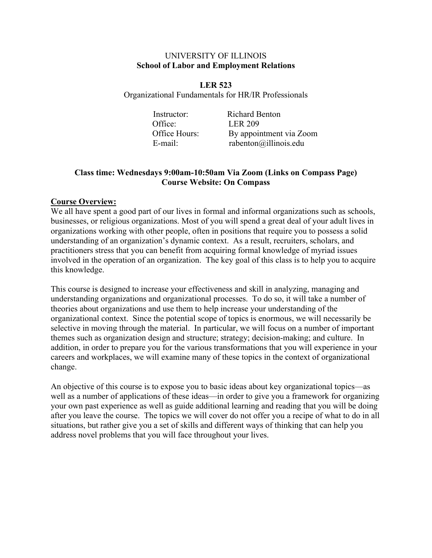#### UNIVERSITY OF ILLINOIS **School of Labor and Employment Relations**

**LER 523** Organizational Fundamentals for HR/IR Professionals

> Instructor: Richard Benton Office: LER 209 Office Hours: By appointment via Zoom E-mail: rabenton@illinois.edu

# **Class time: Wednesdays 9:00am-10:50am Via Zoom (Links on Compass Page) Course Website: On Compass**

### **Course Overview:**

We all have spent a good part of our lives in formal and informal organizations such as schools, businesses, or religious organizations. Most of you will spend a great deal of your adult lives in organizations working with other people, often in positions that require you to possess a solid understanding of an organization's dynamic context. As a result, recruiters, scholars, and practitioners stress that you can benefit from acquiring formal knowledge of myriad issues involved in the operation of an organization. The key goal of this class is to help you to acquire this knowledge.

This course is designed to increase your effectiveness and skill in analyzing, managing and understanding organizations and organizational processes. To do so, it will take a number of theories about organizations and use them to help increase your understanding of the organizational context. Since the potential scope of topics is enormous, we will necessarily be selective in moving through the material. In particular, we will focus on a number of important themes such as organization design and structure; strategy; decision-making; and culture. In addition, in order to prepare you for the various transformations that you will experience in your careers and workplaces, we will examine many of these topics in the context of organizational change.

An objective of this course is to expose you to basic ideas about key organizational topics—as well as a number of applications of these ideas—in order to give you a framework for organizing your own past experience as well as guide additional learning and reading that you will be doing after you leave the course. The topics we will cover do not offer you a recipe of what to do in all situations, but rather give you a set of skills and different ways of thinking that can help you address novel problems that you will face throughout your lives.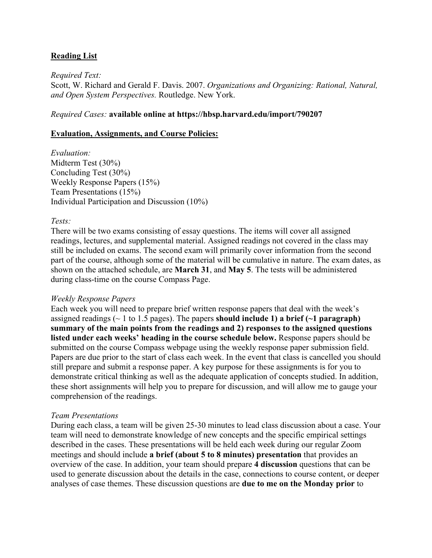# **Reading List**

#### *Required Text:*

Scott, W. Richard and Gerald F. Davis. 2007. *Organizations and Organizing: Rational, Natural, and Open System Perspectives.* Routledge. New York.

#### *Required Cases:* **available online at https://hbsp.harvard.edu/import/790207**

#### **Evaluation, Assignments, and Course Policies:**

*Evaluation:* Midterm Test (30%) Concluding Test (30%) Weekly Response Papers (15%) Team Presentations (15%) Individual Participation and Discussion (10%)

#### *Tests:*

There will be two exams consisting of essay questions. The items will cover all assigned readings, lectures, and supplemental material. Assigned readings not covered in the class may still be included on exams. The second exam will primarily cover information from the second part of the course, although some of the material will be cumulative in nature. The exam dates, as shown on the attached schedule, are **March 31**, and **May 5**. The tests will be administered during class-time on the course Compass Page.

#### *Weekly Response Papers*

Each week you will need to prepare brief written response papers that deal with the week's assigned readings (~ 1 to 1.5 pages). The papers **should include 1) a brief (~1 paragraph) summary of the main points from the readings and 2) responses to the assigned questions listed under each weeks' heading in the course schedule below.** Response papers should be submitted on the course Compass webpage using the weekly response paper submission field. Papers are due prior to the start of class each week. In the event that class is cancelled you should still prepare and submit a response paper. A key purpose for these assignments is for you to demonstrate critical thinking as well as the adequate application of concepts studied. In addition, these short assignments will help you to prepare for discussion, and will allow me to gauge your comprehension of the readings.

#### *Team Presentations*

During each class, a team will be given 25-30 minutes to lead class discussion about a case. Your team will need to demonstrate knowledge of new concepts and the specific empirical settings described in the cases. These presentations will be held each week during our regular Zoom meetings and should include **a brief (about 5 to 8 minutes) presentation** that provides an overview of the case. In addition, your team should prepare **4 discussion** questions that can be used to generate discussion about the details in the case, connections to course content, or deeper analyses of case themes. These discussion questions are **due to me on the Monday prior** to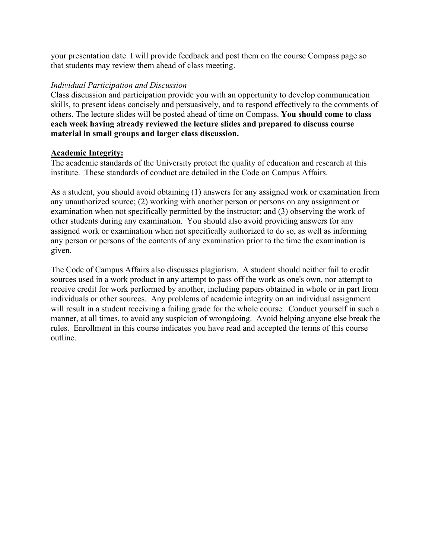your presentation date. I will provide feedback and post them on the course Compass page so that students may review them ahead of class meeting.

### *Individual Participation and Discussion*

Class discussion and participation provide you with an opportunity to develop communication skills, to present ideas concisely and persuasively, and to respond effectively to the comments of others. The lecture slides will be posted ahead of time on Compass. **You should come to class each week having already reviewed the lecture slides and prepared to discuss course material in small groups and larger class discussion.**

### **Academic Integrity:**

The academic standards of the University protect the quality of education and research at this institute. These standards of conduct are detailed in the Code on Campus Affairs.

As a student, you should avoid obtaining (1) answers for any assigned work or examination from any unauthorized source; (2) working with another person or persons on any assignment or examination when not specifically permitted by the instructor; and (3) observing the work of other students during any examination. You should also avoid providing answers for any assigned work or examination when not specifically authorized to do so, as well as informing any person or persons of the contents of any examination prior to the time the examination is given.

The Code of Campus Affairs also discusses plagiarism. A student should neither fail to credit sources used in a work product in any attempt to pass off the work as one's own, nor attempt to receive credit for work performed by another, including papers obtained in whole or in part from individuals or other sources. Any problems of academic integrity on an individual assignment will result in a student receiving a failing grade for the whole course. Conduct yourself in such a manner, at all times, to avoid any suspicion of wrongdoing. Avoid helping anyone else break the rules. Enrollment in this course indicates you have read and accepted the terms of this course outline.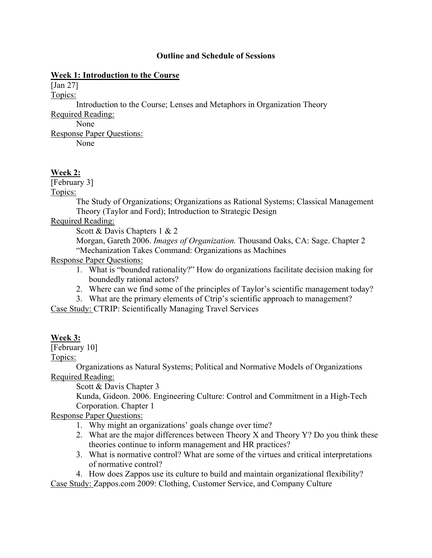#### **Outline and Schedule of Sessions**

### **Week 1: Introduction to the Course**

[Jan 27]

Topics:

Introduction to the Course; Lenses and Metaphors in Organization Theory

Required Reading: None

Response Paper Questions: None

# **Week 2:**

[February 3]

Topics:

The Study of Organizations; Organizations as Rational Systems; Classical Management Theory (Taylor and Ford); Introduction to Strategic Design

# Required Reading:

Scott & Davis Chapters 1 & 2

Morgan, Gareth 2006. *Images of Organization.* Thousand Oaks, CA: Sage. Chapter 2 "Mechanization Takes Command: Organizations as Machines

Response Paper Questions:

- 1. What is "bounded rationality?" How do organizations facilitate decision making for boundedly rational actors?
- 2. Where can we find some of the principles of Taylor's scientific management today?
- 3. What are the primary elements of Ctrip's scientific approach to management?

Case Study: CTRIP: Scientifically Managing Travel Services

# **Week 3:**

[February 10]

Topics:

Organizations as Natural Systems; Political and Normative Models of Organizations Required Reading:

Scott & Davis Chapter 3

Kunda, Gideon. 2006. Engineering Culture: Control and Commitment in a High-Tech Corporation. Chapter 1

# Response Paper Questions:

- 1. Why might an organizations' goals change over time?
- 2. What are the major differences between Theory X and Theory Y? Do you think these theories continue to inform management and HR practices?
- 3. What is normative control? What are some of the virtues and critical interpretations of normative control?
- 4. How does Zappos use its culture to build and maintain organizational flexibility?

Case Study: Zappos.com 2009: Clothing, Customer Service, and Company Culture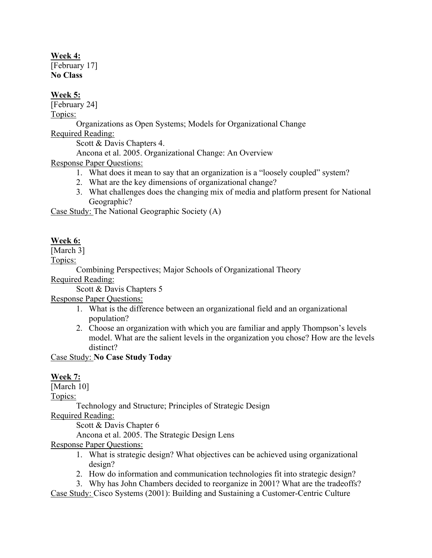### **Week 4:**

[February 17] **No Class**

# **Week 5:**

[February 24]

Topics:

Organizations as Open Systems; Models for Organizational Change

Required Reading:

Scott & Davis Chapters 4.

Ancona et al. 2005. Organizational Change: An Overview

Response Paper Questions:

- 1. What does it mean to say that an organization is a "loosely coupled" system?
- 2. What are the key dimensions of organizational change?
- 3. What challenges does the changing mix of media and platform present for National Geographic?

Case Study: The National Geographic Society (A)

# **Week 6:**

[March 3]

Topics:

Combining Perspectives; Major Schools of Organizational Theory

Required Reading:

Scott & Davis Chapters 5

Response Paper Questions:

- 1. What is the difference between an organizational field and an organizational population?
- 2. Choose an organization with which you are familiar and apply Thompson's levels model. What are the salient levels in the organization you chose? How are the levels distinct?

Case Study: **No Case Study Today**

# **Week 7:**

[March 10]

Topics:

Technology and Structure; Principles of Strategic Design

Required Reading:

Scott & Davis Chapter 6

Ancona et al. 2005. The Strategic Design Lens

Response Paper Questions:

- 1. What is strategic design? What objectives can be achieved using organizational design?
- 2. How do information and communication technologies fit into strategic design?

3. Why has John Chambers decided to reorganize in 2001? What are the tradeoffs?

Case Study: Cisco Systems (2001): Building and Sustaining a Customer-Centric Culture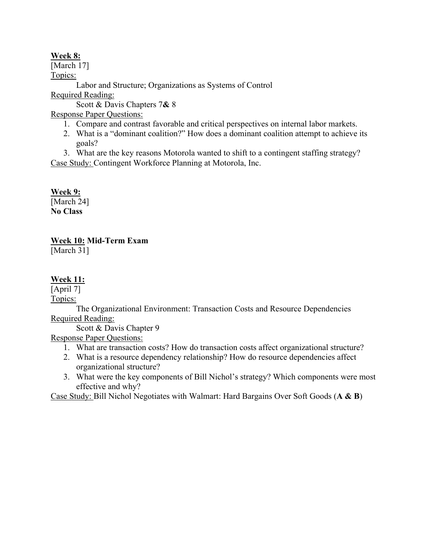# **Week 8:**

[March 17] Topics: Labor and Structure; Organizations as Systems of Control Required Reading: Scott & Davis Chapters 7**&** 8

Response Paper Questions:

- 1. Compare and contrast favorable and critical perspectives on internal labor markets.
- 2. What is a "dominant coalition?" How does a dominant coalition attempt to achieve its goals?

3. What are the key reasons Motorola wanted to shift to a contingent staffing strategy? Case Study: Contingent Workforce Planning at Motorola, Inc.

# **Week 9:**

[March 24] **No Class**

**Week 10: Mid-Term Exam**

[March 31]

# **Week 11:**

[April 7] Topics:

The Organizational Environment: Transaction Costs and Resource Dependencies Required Reading:

Scott & Davis Chapter 9

Response Paper Questions:

- 1. What are transaction costs? How do transaction costs affect organizational structure?
- 2. What is a resource dependency relationship? How do resource dependencies affect organizational structure?
- 3. What were the key components of Bill Nichol's strategy? Which components were most effective and why?

Case Study: Bill Nichol Negotiates with Walmart: Hard Bargains Over Soft Goods (**A & B**)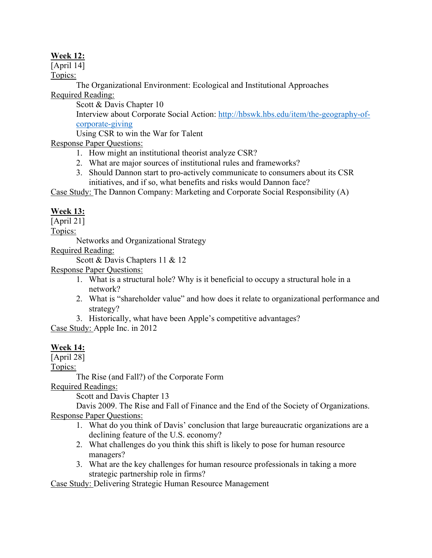# **Week 12:**

[April 14]

Topics:

The Organizational Environment: Ecological and Institutional Approaches Required Reading:

Scott & Davis Chapter 10

Interview about Corporate Social Action: [http://hbswk.hbs.edu/item/the-geography-of](http://hbswk.hbs.edu/item/the-geography-of-corporate-giving)[corporate-giving](http://hbswk.hbs.edu/item/the-geography-of-corporate-giving)

Using CSR to win the War for Talent

Response Paper Questions:

- 1. How might an institutional theorist analyze CSR?
- 2. What are major sources of institutional rules and frameworks?
- 3. Should Dannon start to pro-actively communicate to consumers about its CSR initiatives, and if so, what benefits and risks would Dannon face?

Case Study: The Dannon Company: Marketing and Corporate Social Responsibility (A)

# **Week 13:**

[April 21]

Topics:

Networks and Organizational Strategy

Required Reading:

Scott & Davis Chapters 11 & 12

Response Paper Questions:

- 1. What is a structural hole? Why is it beneficial to occupy a structural hole in a network?
- 2. What is "shareholder value" and how does it relate to organizational performance and strategy?
- 3. Historically, what have been Apple's competitive advantages?

Case Study: Apple Inc. in 2012

# **Week 14:**

[April 28]

Topics:

The Rise (and Fall?) of the Corporate Form

Required Readings:

Scott and Davis Chapter 13

Davis 2009. The Rise and Fall of Finance and the End of the Society of Organizations. Response Paper Questions:

- 1. What do you think of Davis' conclusion that large bureaucratic organizations are a declining feature of the U.S. economy?
- 2. What challenges do you think this shift is likely to pose for human resource managers?
- 3. What are the key challenges for human resource professionals in taking a more strategic partnership role in firms?

Case Study: Delivering Strategic Human Resource Management